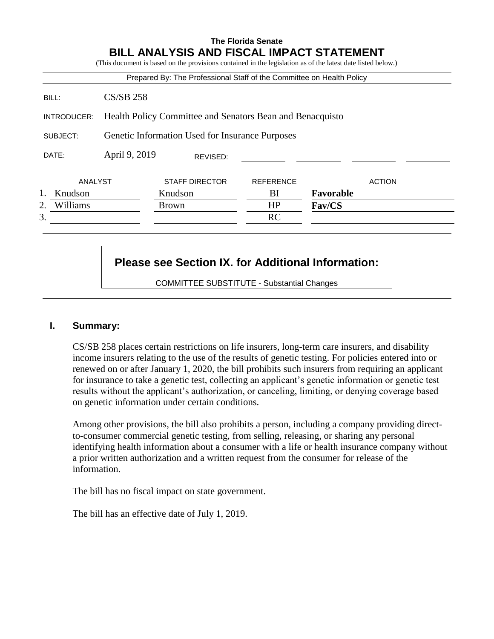## **The Florida Senate BILL ANALYSIS AND FISCAL IMPACT STATEMENT**

|                |                                                           | Prepared By: The Professional Staff of the Committee on Health Policy |                  |               |  |
|----------------|-----------------------------------------------------------|-----------------------------------------------------------------------|------------------|---------------|--|
| BILL:          | $CS/SB$ 258                                               |                                                                       |                  |               |  |
| INTRODUCER:    | Health Policy Committee and Senators Bean and Benacquisto |                                                                       |                  |               |  |
| SUBJECT:       | Genetic Information Used for Insurance Purposes           |                                                                       |                  |               |  |
| DATE:          | April 9, 2019                                             | REVISED:                                                              |                  |               |  |
| ANALYST        |                                                           | <b>STAFF DIRECTOR</b>                                                 | <b>REFERENCE</b> | <b>ACTION</b> |  |
| Knudson        |                                                           | Knudson                                                               | BI               | Favorable     |  |
| Williams<br>2. |                                                           | <b>Brown</b>                                                          | HP               | Fav/CS        |  |
| 3.             |                                                           |                                                                       | RC               |               |  |

## **Please see Section IX. for Additional Information:**

COMMITTEE SUBSTITUTE - Substantial Changes

## **I. Summary:**

CS/SB 258 places certain restrictions on life insurers, long-term care insurers, and disability income insurers relating to the use of the results of genetic testing. For policies entered into or renewed on or after January 1, 2020, the bill prohibits such insurers from requiring an applicant for insurance to take a genetic test, collecting an applicant's genetic information or genetic test results without the applicant's authorization, or canceling, limiting, or denying coverage based on genetic information under certain conditions.

Among other provisions, the bill also prohibits a person, including a company providing directto-consumer commercial genetic testing, from selling, releasing, or sharing any personal identifying health information about a consumer with a life or health insurance company without a prior written authorization and a written request from the consumer for release of the information.

The bill has no fiscal impact on state government.

The bill has an effective date of July 1, 2019.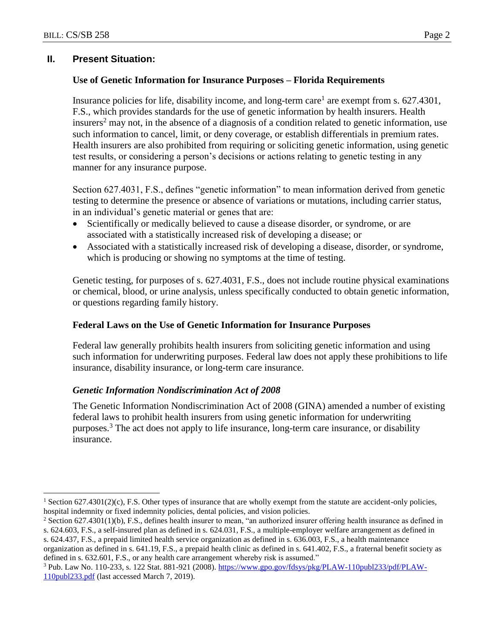$\overline{a}$ 

## **II. Present Situation:**

## **Use of Genetic Information for Insurance Purposes – Florida Requirements**

Insurance policies for life, disability income, and long-term care<sup>1</sup> are exempt from s.  $627.4301$ , F.S., which provides standards for the use of genetic information by health insurers. Health insurers<sup>2</sup> may not, in the absence of a diagnosis of a condition related to genetic information, use such information to cancel, limit, or deny coverage, or establish differentials in premium rates. Health insurers are also prohibited from requiring or soliciting genetic information, using genetic test results, or considering a person's decisions or actions relating to genetic testing in any manner for any insurance purpose.

Section 627.4031, F.S., defines "genetic information" to mean information derived from genetic testing to determine the presence or absence of variations or mutations, including carrier status, in an individual's genetic material or genes that are:

- Scientifically or medically believed to cause a disease disorder, or syndrome, or are associated with a statistically increased risk of developing a disease; or
- Associated with a statistically increased risk of developing a disease, disorder, or syndrome, which is producing or showing no symptoms at the time of testing.

Genetic testing, for purposes of s. 627.4031, F.S., does not include routine physical examinations or chemical, blood, or urine analysis, unless specifically conducted to obtain genetic information, or questions regarding family history.

#### **Federal Laws on the Use of Genetic Information for Insurance Purposes**

Federal law generally prohibits health insurers from soliciting genetic information and using such information for underwriting purposes. Federal law does not apply these prohibitions to life insurance, disability insurance, or long-term care insurance.

## *Genetic Information Nondiscrimination Act of 2008*

The Genetic Information Nondiscrimination Act of 2008 (GINA) amended a number of existing federal laws to prohibit health insurers from using genetic information for underwriting purposes.<sup>3</sup> The act does not apply to life insurance, long-term care insurance, or disability insurance.

<sup>&</sup>lt;sup>1</sup> Section 627.4301(2)(c), F.S. Other types of insurance that are wholly exempt from the statute are accident-only policies, hospital indemnity or fixed indemnity policies, dental policies, and vision policies.

<sup>&</sup>lt;sup>2</sup> Section 627.4301(1)(b), F.S., defines health insurer to mean, "an authorized insurer offering health insurance as defined in s. 624.603, F.S., a self-insured plan as defined in s. 624.031, F.S., a multiple-employer welfare arrangement as defined in s. 624.437, F.S., a prepaid limited health service organization as defined in s. 636.003, F.S., a health maintenance

organization as defined in s. 641.19, F.S., a prepaid health clinic as defined in s. 641.402, F.S., a fraternal benefit society as defined in s. 632.601, F.S., or any health care arrangement whereby risk is assumed."

<sup>&</sup>lt;sup>3</sup> Pub. Law No. 110-233, s. 122 Stat. 881-921 (2008)[. https://www.gpo.gov/fdsys/pkg/PLAW-110publ233/pdf/PLAW-](https://www.gpo.gov/fdsys/pkg/PLAW-110publ233/pdf/PLAW-110publ233.pdf)[110publ233.pdf](https://www.gpo.gov/fdsys/pkg/PLAW-110publ233/pdf/PLAW-110publ233.pdf) (last accessed March 7, 2019).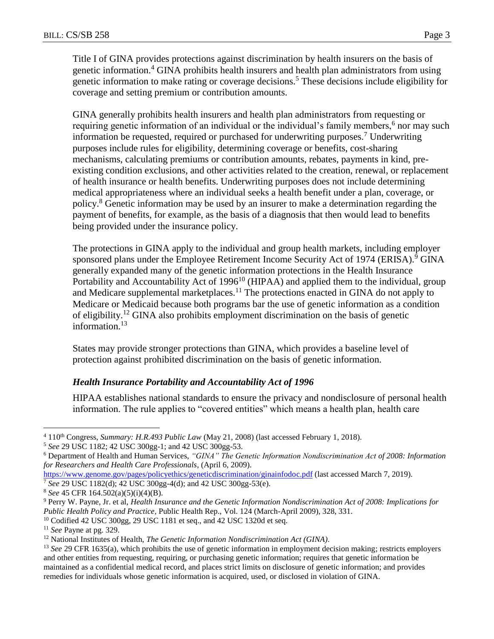Title I of GINA provides protections against discrimination by health insurers on the basis of genetic information.<sup>4</sup> GINA prohibits health insurers and health plan administrators from using genetic information to make rating or coverage decisions.<sup>5</sup> These decisions include eligibility for coverage and setting premium or contribution amounts.

GINA generally prohibits health insurers and health plan administrators from requesting or requiring genetic information of an individual or the individual's family members,<sup>6</sup> nor may such information be requested, required or purchased for underwriting purposes.<sup>7</sup> Underwriting purposes include rules for eligibility, determining coverage or benefits, cost-sharing mechanisms, calculating premiums or contribution amounts, rebates, payments in kind, preexisting condition exclusions, and other activities related to the creation, renewal, or replacement of health insurance or health benefits. Underwriting purposes does not include determining medical appropriateness where an individual seeks a health benefit under a plan, coverage, or policy.<sup>8</sup> Genetic information may be used by an insurer to make a determination regarding the payment of benefits, for example, as the basis of a diagnosis that then would lead to benefits being provided under the insurance policy.

The protections in GINA apply to the individual and group health markets, including employer sponsored plans under the Employee Retirement Income Security Act of 1974 (ERISA).<sup>9</sup> GINA generally expanded many of the genetic information protections in the Health Insurance Portability and Accountability Act of  $1996<sup>10</sup>$  (HIPAA) and applied them to the individual, group and Medicare supplemental marketplaces.<sup>11</sup> The protections enacted in GINA do not apply to Medicare or Medicaid because both programs bar the use of genetic information as a condition of eligibility.<sup>12</sup> GINA also prohibits employment discrimination on the basis of genetic information.<sup>13</sup>

States may provide stronger protections than GINA, which provides a baseline level of protection against prohibited discrimination on the basis of genetic information.

## *Health Insurance Portability and Accountability Act of 1996*

HIPAA establishes national standards to ensure the privacy and nondisclosure of personal health information. The rule applies to "covered entities" which means a health plan, health care

<sup>5</sup> *See* 29 USC 1182; 42 USC 300gg-1; and 42 USC 300gg-53.

<sup>&</sup>lt;sup>4</sup> 110<sup>th</sup> Congress, *Summary: H.R.493 Public Law* (May 21, 2008) (last accessed February 1, 2018).

<sup>6</sup> Department of Health and Human Services, *"GINA" The Genetic Information Nondiscrimination Act of 2008: Information for Researchers and Health Care Professionals*, (April 6, 2009).

<https://www.genome.gov/pages/policyethics/geneticdiscrimination/ginainfodoc.pdf> (last accessed March 7, 2019).

<sup>7</sup> *See* 29 USC 1182(d); 42 USC 300gg-4(d); and 42 USC 300gg-53(e).

<sup>8</sup> *See* 45 CFR 164.502(a)(5)(i)(4)(B).

<sup>9</sup> Perry W. Payne, Jr. et al, *Health Insurance and the Genetic Information Nondiscrimination Act of 2008: Implications for Public Health Policy and Practice*, Public Health Rep., Vol. 124 (March-April 2009), 328, 331.

<sup>&</sup>lt;sup>10</sup> Codified 42 USC 300gg, 29 USC 1181 et seq., and 42 USC 1320d et seq.

<sup>11</sup> *See* Payne at pg. 329.

<sup>12</sup> National Institutes of Health, *The Genetic Information Nondiscrimination Act (GINA)*.

<sup>13</sup> *See* 29 CFR 1635(a), which prohibits the use of genetic information in employment decision making; restricts employers and other entities from requesting, requiring, or purchasing genetic information; requires that genetic information be maintained as a confidential medical record, and places strict limits on disclosure of genetic information; and provides remedies for individuals whose genetic information is acquired, used, or disclosed in violation of GINA.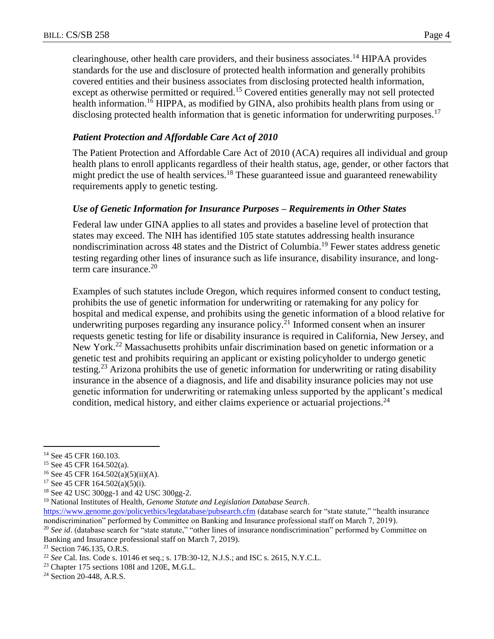clearinghouse, other health care providers, and their business associates.<sup>14</sup> HIPAA provides standards for the use and disclosure of protected health information and generally prohibits covered entities and their business associates from disclosing protected health information, except as otherwise permitted or required.<sup>15</sup> Covered entities generally may not sell protected health information.<sup>16</sup> HIPPA, as modified by GINA, also prohibits health plans from using or disclosing protected health information that is genetic information for underwriting purposes.<sup>17</sup>

## *Patient Protection and Affordable Care Act of 2010*

The Patient Protection and Affordable Care Act of 2010 (ACA) requires all individual and group health plans to enroll applicants regardless of their health status, age, gender, or other factors that might predict the use of health services.<sup>18</sup> These guaranteed issue and guaranteed renewability requirements apply to genetic testing.

## *Use of Genetic Information for Insurance Purposes – Requirements in Other States*

Federal law under GINA applies to all states and provides a baseline level of protection that states may exceed. The NIH has identified 105 state statutes addressing health insurance nondiscrimination across 48 states and the District of Columbia.<sup>19</sup> Fewer states address genetic testing regarding other lines of insurance such as life insurance, disability insurance, and longterm care insurance. $20$ 

Examples of such statutes include Oregon, which requires informed consent to conduct testing, prohibits the use of genetic information for underwriting or ratemaking for any policy for hospital and medical expense, and prohibits using the genetic information of a blood relative for underwriting purposes regarding any insurance policy.<sup>21</sup> Informed consent when an insurer requests genetic testing for life or disability insurance is required in California, New Jersey, and New York.<sup>22</sup> Massachusetts prohibits unfair discrimination based on genetic information or a genetic test and prohibits requiring an applicant or existing policyholder to undergo genetic testing.<sup>23</sup> Arizona prohibits the use of genetic information for underwriting or rating disability insurance in the absence of a diagnosis, and life and disability insurance policies may not use genetic information for underwriting or ratemaking unless supported by the applicant's medical condition, medical history, and either claims experience or actuarial projections.<sup>24</sup>

<sup>&</sup>lt;sup>14</sup> See 45 CFR 160.103.

<sup>15</sup> See 45 CFR 164.502(a).

<sup>&</sup>lt;sup>16</sup> See 45 CFR 164.502(a)(5)(ii)(A).

<sup>17</sup> See 45 CFR 164.502(a)(5)(i).

<sup>18</sup> See 42 USC 300gg-1 and 42 USC 300gg-2.

<sup>19</sup> National Institutes of Health, *Genome Statute and Legislation Database Search*.

<https://www.genome.gov/policyethics/legdatabase/pubsearch.cfm> (database search for "state statute," "health insurance nondiscrimination" performed by Committee on Banking and Insurance professional staff on March 7, 2019).

<sup>&</sup>lt;sup>20</sup> See id. (database search for "state statute," "other lines of insurance nondiscrimination" performed by Committee on Banking and Insurance professional staff on March 7, 2019).

<sup>21</sup> Section 746.135, O.R.S.

<sup>22</sup> *See* Cal. Ins. Code s. 10146 et seq.; s. 17B:30-12, N.J.S.; and ISC s. 2615, N.Y.C.L.

<sup>23</sup> Chapter 175 sections 108I and 120E, M.G.L.

<sup>24</sup> Section 20-448, A.R.S.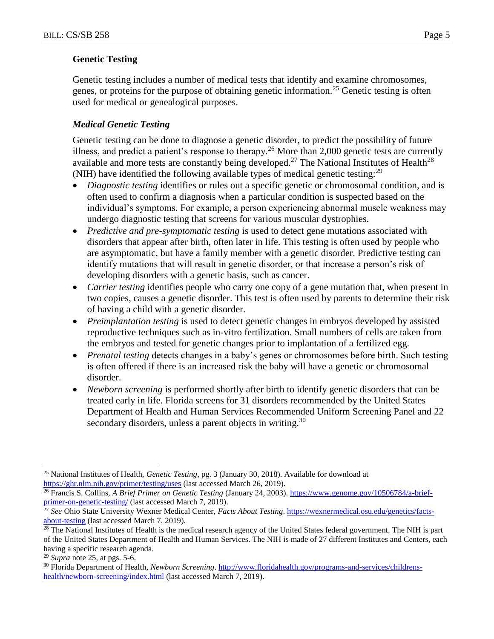## **Genetic Testing**

Genetic testing includes a number of medical tests that identify and examine chromosomes, genes, or proteins for the purpose of obtaining genetic information.<sup>25</sup> Genetic testing is often used for medical or genealogical purposes.

## *Medical Genetic Testing*

Genetic testing can be done to diagnose a genetic disorder, to predict the possibility of future illness, and predict a patient's response to therapy.<sup>26</sup> More than 2,000 genetic tests are currently available and more tests are constantly being developed.<sup>27</sup> The National Institutes of Health<sup>28</sup> (NIH) have identified the following available types of medical genetic testing:  $^{29}$ 

- *Diagnostic testing* identifies or rules out a specific genetic or chromosomal condition, and is often used to confirm a diagnosis when a particular condition is suspected based on the individual's symptoms. For example, a person experiencing abnormal muscle weakness may undergo diagnostic testing that screens for various muscular dystrophies.
- *Predictive and pre-symptomatic testing* is used to detect gene mutations associated with disorders that appear after birth, often later in life. This testing is often used by people who are asymptomatic, but have a family member with a genetic disorder. Predictive testing can identify mutations that will result in genetic disorder, or that increase a person's risk of developing disorders with a genetic basis, such as cancer.
- *Carrier testing* identifies people who carry one copy of a gene mutation that, when present in two copies, causes a genetic disorder. This test is often used by parents to determine their risk of having a child with a genetic disorder.
- *Preimplantation testing* is used to detect genetic changes in embryos developed by assisted reproductive techniques such as in-vitro fertilization. Small numbers of cells are taken from the embryos and tested for genetic changes prior to implantation of a fertilized egg.
- *Prenatal testing* detects changes in a baby's genes or chromosomes before birth. Such testing is often offered if there is an increased risk the baby will have a genetic or chromosomal disorder.
- *Newborn screening* is performed shortly after birth to identify genetic disorders that can be treated early in life. Florida screens for 31 disorders recommended by the United States Department of Health and Human Services Recommended Uniform Screening Panel and 22 secondary disorders, unless a parent objects in writing.<sup>30</sup>

 $\overline{a}$ <sup>25</sup> National Institutes of Health, *Genetic Testing*, pg. 3 (January 30, 2018). Available for download at <https://ghr.nlm.nih.gov/primer/testing/uses> (last accessed March 26, 2019).

<sup>&</sup>lt;sup>26</sup> Francis S. Collins, *A Brief Primer on Genetic Testing* (January 24, 2003)[. https://www.genome.gov/10506784/a-brief](https://www.genome.gov/10506784/a-brief-primer-on-genetic-testing/)[primer-on-genetic-testing/](https://www.genome.gov/10506784/a-brief-primer-on-genetic-testing/) (last accessed March 7, 2019).

<sup>27</sup> *See* Ohio State University Wexner Medical Center, *Facts About Testing*[. https://wexnermedical.osu.edu/genetics/facts](https://wexnermedical.osu.edu/genetics/facts-about-testing)[about-testing](https://wexnermedical.osu.edu/genetics/facts-about-testing) (last accessed March 7, 2019).

<sup>&</sup>lt;sup>28</sup> The National Institutes of Health is the medical research agency of the United States federal government. The NIH is part of the United States Department of Health and Human Services. The NIH is made of 27 different Institutes and Centers, each having a specific research agenda.

<sup>29</sup> *Supra* note 25, at pgs. 5-6.

<sup>30</sup> Florida Department of Health, *Newborn Screening*[. http://www.floridahealth.gov/programs-and-services/childrens](http://www.floridahealth.gov/programs-and-services/childrens-health/newborn-screening/index.html)[health/newborn-screening/index.html](http://www.floridahealth.gov/programs-and-services/childrens-health/newborn-screening/index.html) (last accessed March 7, 2019).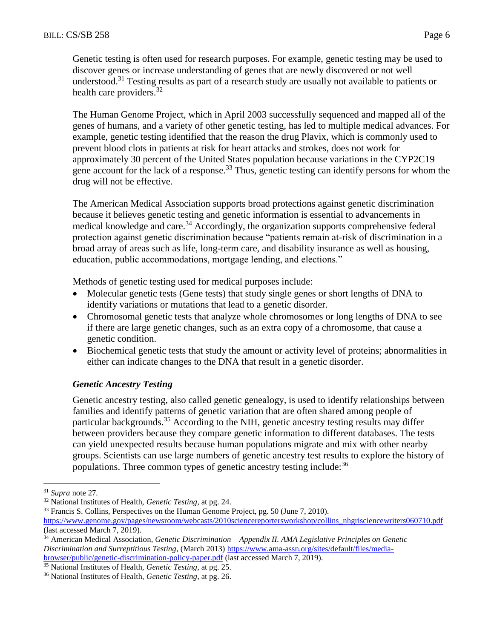Genetic testing is often used for research purposes. For example, genetic testing may be used to discover genes or increase understanding of genes that are newly discovered or not well understood.<sup>31</sup> Testing results as part of a research study are usually not available to patients or health care providers. $32$ 

The Human Genome Project, which in April 2003 successfully sequenced and mapped all of the genes of humans, and a variety of other genetic testing, has led to multiple medical advances. For example, genetic testing identified that the reason the drug Plavix, which is commonly used to prevent blood clots in patients at risk for heart attacks and strokes, does not work for approximately 30 percent of the United States population because variations in the CYP2C19 gene account for the lack of a response.<sup>33</sup> Thus, genetic testing can identify persons for whom the drug will not be effective.

The American Medical Association supports broad protections against genetic discrimination because it believes genetic testing and genetic information is essential to advancements in medical knowledge and care.<sup>34</sup> Accordingly, the organization supports comprehensive federal protection against genetic discrimination because "patients remain at-risk of discrimination in a broad array of areas such as life, long-term care, and disability insurance as well as housing, education, public accommodations, mortgage lending, and elections."

Methods of genetic testing used for medical purposes include:

- Molecular genetic tests (Gene tests) that study single genes or short lengths of DNA to identify variations or mutations that lead to a genetic disorder.
- Chromosomal genetic tests that analyze whole chromosomes or long lengths of DNA to see if there are large genetic changes, such as an extra copy of a chromosome, that cause a genetic condition.
- Biochemical genetic tests that study the amount or activity level of proteins; abnormalities in either can indicate changes to the DNA that result in a genetic disorder.

## *Genetic Ancestry Testing*

Genetic ancestry testing, also called genetic genealogy, is used to identify relationships between families and identify patterns of genetic variation that are often shared among people of particular backgrounds.<sup>35</sup> According to the NIH, genetic ancestry testing results may differ between providers because they compare genetic information to different databases. The tests can yield unexpected results because human populations migrate and mix with other nearby groups. Scientists can use large numbers of genetic ancestry test results to explore the history of populations. Three common types of genetic ancestry testing include:<sup>36</sup>

<sup>31</sup> *Supra* note 27*.*

<sup>32</sup> National Institutes of Health, *Genetic Testing*, at pg. 24.

<sup>&</sup>lt;sup>33</sup> Francis S. Collins, Perspectives on the Human Genome Project, pg. 50 (June 7, 2010).

[https://www.genome.gov/pages/newsroom/webcasts/2010sciencereportersworkshop/collins\\_nhgrisciencewriters060710.pdf](https://www.genome.gov/pages/newsroom/webcasts/2010sciencereportersworkshop/collins_nhgrisciencewriters060710.pdf) (last accessed March 7, 2019).

<sup>34</sup> American Medical Association*, Genetic Discrimination – Appendix II. AMA Legislative Principles on Genetic Discrimination and Surreptitious Testing*, (March 2013[\) https://www.ama-assn.org/sites/default/files/media](https://www.ama-assn.org/sites/default/files/media-browser/public/genetic-discrimination-policy-paper.pdf)[browser/public/genetic-discrimination-policy-paper.pdf](https://www.ama-assn.org/sites/default/files/media-browser/public/genetic-discrimination-policy-paper.pdf) (last accessed March 7, 2019).

<sup>35</sup> National Institutes of Health, *Genetic Testing*, at pg. 25.

<sup>36</sup> National Institutes of Health, *Genetic Testing*, at pg. 26.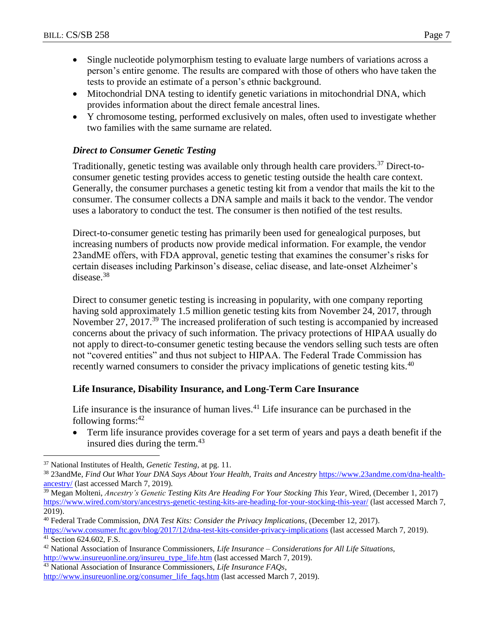- Single nucleotide polymorphism testing to evaluate large numbers of variations across a person's entire genome. The results are compared with those of others who have taken the tests to provide an estimate of a person's ethnic background.
- Mitochondrial DNA testing to identify genetic variations in mitochondrial DNA, which provides information about the direct female ancestral lines.
- Y chromosome testing, performed exclusively on males, often used to investigate whether two families with the same surname are related.

## *Direct to Consumer Genetic Testing*

Traditionally, genetic testing was available only through health care providers.<sup>37</sup> Direct-toconsumer genetic testing provides access to genetic testing outside the health care context. Generally, the consumer purchases a genetic testing kit from a vendor that mails the kit to the consumer. The consumer collects a DNA sample and mails it back to the vendor. The vendor uses a laboratory to conduct the test. The consumer is then notified of the test results.

Direct-to-consumer genetic testing has primarily been used for genealogical purposes, but increasing numbers of products now provide medical information. For example, the vendor 23andME offers, with FDA approval, genetic testing that examines the consumer's risks for certain diseases including Parkinson's disease, celiac disease, and late-onset Alzheimer's disease.<sup>38</sup>

Direct to consumer genetic testing is increasing in popularity, with one company reporting having sold approximately 1.5 million genetic testing kits from November 24, 2017, through November 27, 2017.<sup>39</sup> The increased proliferation of such testing is accompanied by increased concerns about the privacy of such information. The privacy protections of HIPAA usually do not apply to direct-to-consumer genetic testing because the vendors selling such tests are often not "covered entities" and thus not subject to HIPAA. The Federal Trade Commission has recently warned consumers to consider the privacy implications of genetic testing kits.<sup>40</sup>

## **Life Insurance, Disability Insurance, and Long-Term Care Insurance**

Life insurance is the insurance of human lives.<sup>41</sup> Life insurance can be purchased in the following forms: $42$ 

 Term life insurance provides coverage for a set term of years and pays a death benefit if the insured dies during the term.<sup>43</sup>

 $\overline{a}$ 

<sup>39</sup> Megan Molteni, *Ancestry's Genetic Testing Kits Are Heading For Your Stocking This Year*, Wired, (December 1, 2017) <https://www.wired.com/story/ancestrys-genetic-testing-kits-are-heading-for-your-stocking-this-year/> (last accessed March 7, 2019).

<https://www.consumer.ftc.gov/blog/2017/12/dna-test-kits-consider-privacy-implications> (last accessed March 7, 2019). <sup>41</sup> Section 624.602, F.S.

<sup>37</sup> National Institutes of Health, *Genetic Testing*, at pg. 11.

<sup>38</sup> 23andMe, *Find Out What Your DNA Says About Your Health, Traits and Ancestry* [https://www.23andme.com/dna-health](https://www.23andme.com/dna-health-ancestry/)[ancestry/](https://www.23andme.com/dna-health-ancestry/) (last accessed March 7, 2019).

<sup>40</sup> Federal Trade Commission, *DNA Test Kits: Consider the Privacy Implications*, (December 12, 2017).

<sup>42</sup> National Association of Insurance Commissioners, *Life Insurance – Considerations for All Life Situations*, [http://www.insureuonline.org/insureu\\_type\\_life.htm](http://www.insureuonline.org/insureu_type_life.htm) (last accessed March 7, 2019).

<sup>43</sup> National Association of Insurance Commissioners, *Life Insurance FAQs*,

[http://www.insureuonline.org/consumer\\_life\\_faqs.htm](http://www.insureuonline.org/consumer_life_faqs.htm) (last accessed March 7, 2019).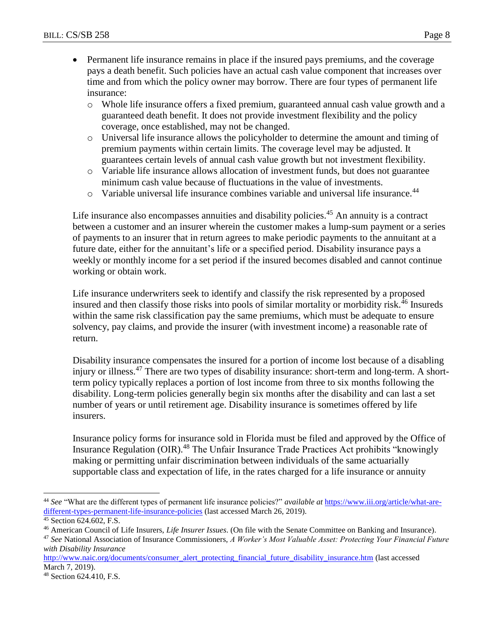- Permanent life insurance remains in place if the insured pays premiums, and the coverage pays a death benefit. Such policies have an actual cash value component that increases over time and from which the policy owner may borrow. There are four types of permanent life insurance:
	- o Whole life insurance offers a fixed premium, guaranteed annual cash value growth and a guaranteed death benefit. It does not provide investment flexibility and the policy coverage, once established, may not be changed.
	- o Universal life insurance allows the policyholder to determine the amount and timing of premium payments within certain limits. The coverage level may be adjusted. It guarantees certain levels of annual cash value growth but not investment flexibility.
	- o Variable life insurance allows allocation of investment funds, but does not guarantee minimum cash value because of fluctuations in the value of investments.
	- $\circ$  Variable universal life insurance combines variable and universal life insurance.<sup>44</sup>

Life insurance also encompasses annuities and disability policies.<sup>45</sup> An annuity is a contract between a customer and an insurer wherein the customer makes a lump-sum payment or a series of payments to an insurer that in return agrees to make periodic payments to the annuitant at a future date, either for the annuitant's life or a specified period. Disability insurance pays a weekly or monthly income for a set period if the insured becomes disabled and cannot continue working or obtain work.

Life insurance underwriters seek to identify and classify the risk represented by a proposed insured and then classify those risks into pools of similar mortality or morbidity risk.<sup>46</sup> Insureds within the same risk classification pay the same premiums, which must be adequate to ensure solvency, pay claims, and provide the insurer (with investment income) a reasonable rate of return.

Disability insurance compensates the insured for a portion of income lost because of a disabling injury or illness.<sup>47</sup> There are two types of disability insurance: short-term and long-term. A shortterm policy typically replaces a portion of lost income from three to six months following the disability. Long-term policies generally begin six months after the disability and can last a set number of years or until retirement age. Disability insurance is sometimes offered by life insurers.

Insurance policy forms for insurance sold in Florida must be filed and approved by the Office of Insurance Regulation (OIR).<sup>48</sup> The Unfair Insurance Trade Practices Act prohibits "knowingly making or permitting unfair discrimination between individuals of the same actuarially supportable class and expectation of life, in the rates charged for a life insurance or annuity

 $\overline{a}$ <sup>44</sup> *See* "What are the different types of permanent life insurance policies?" *available at* [https://www.iii.org/article/what-are](https://www.iii.org/article/what-are-different-types-permanent-life-insurance-policies)[different-types-permanent-life-insurance-policies](https://www.iii.org/article/what-are-different-types-permanent-life-insurance-policies) (last accessed March 26, 2019).

<sup>45</sup> Section 624.602, F.S.

<sup>46</sup> American Council of Life Insurers, *Life Insurer Issues*. (On file with the Senate Committee on Banking and Insurance).

<sup>47</sup> *See* National Association of Insurance Commissioners, *A Worker's Most Valuable Asset: Protecting Your Financial Future with Disability Insurance*

[http://www.naic.org/documents/consumer\\_alert\\_protecting\\_financial\\_future\\_disability\\_insurance.htm](http://www.naic.org/documents/consumer_alert_protecting_financial_future_disability_insurance.htm) (last accessed March 7, 2019).

<sup>48</sup> Section 624.410, F.S.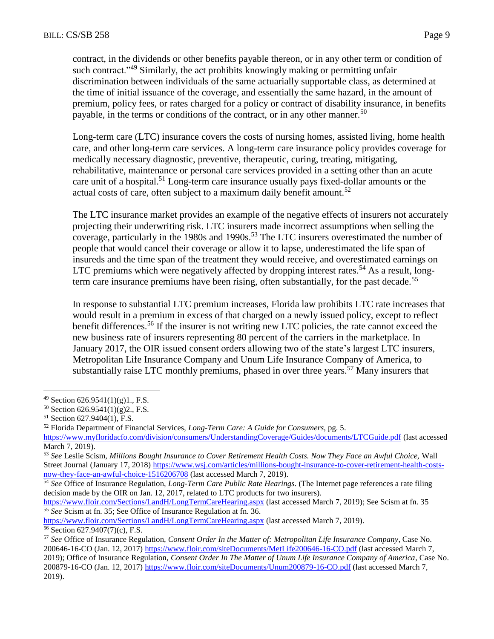contract, in the dividends or other benefits payable thereon, or in any other term or condition of such contract.<sup>149</sup> Similarly, the act prohibits knowingly making or permitting unfair discrimination between individuals of the same actuarially supportable class, as determined at the time of initial issuance of the coverage, and essentially the same hazard, in the amount of premium, policy fees, or rates charged for a policy or contract of disability insurance, in benefits payable, in the terms or conditions of the contract, or in any other manner.<sup>50</sup>

Long-term care (LTC) insurance covers the costs of nursing homes, assisted living, home health care, and other long-term care services. A long-term care insurance policy provides coverage for medically necessary diagnostic, preventive, therapeutic, curing, treating, mitigating, rehabilitative, maintenance or personal care services provided in a setting other than an acute care unit of a hospital.<sup>51</sup> Long-term care insurance usually pays fixed-dollar amounts or the actual costs of care, often subject to a maximum daily benefit amount.<sup>52</sup>

The LTC insurance market provides an example of the negative effects of insurers not accurately projecting their underwriting risk. LTC insurers made incorrect assumptions when selling the coverage, particularly in the 1980s and 1990s.<sup>53</sup> The LTC insurers overestimated the number of people that would cancel their coverage or allow it to lapse, underestimated the life span of insureds and the time span of the treatment they would receive, and overestimated earnings on LTC premiums which were negatively affected by dropping interest rates.<sup>54</sup> As a result, longterm care insurance premiums have been rising, often substantially, for the past decade.<sup>55</sup>

In response to substantial LTC premium increases, Florida law prohibits LTC rate increases that would result in a premium in excess of that charged on a newly issued policy, except to reflect benefit differences.<sup>56</sup> If the insurer is not writing new LTC policies, the rate cannot exceed the new business rate of insurers representing 80 percent of the carriers in the marketplace. In January 2017, the OIR issued consent orders allowing two of the state's largest LTC insurers, Metropolitan Life Insurance Company and Unum Life Insurance Company of America, to substantially raise LTC monthly premiums, phased in over three years.<sup>57</sup> Many insurers that

 $49$  Section 626.9541(1)(g)1., F.S.

<sup>50</sup> Section 626.9541(1)(g)2., F.S.

<sup>51</sup> Section 627.9404(1), F.S.

<sup>52</sup> Florida Department of Financial Services, *Long-Term Care: A Guide for Consumers,* pg. 5.

<https://www.myfloridacfo.com/division/consumers/UnderstandingCoverage/Guides/documents/LTCGuide.pdf> (last accessed March 7, 2019).

<sup>53</sup> *See* Leslie Scism, *Millions Bought Insurance to Cover Retirement Health Costs. Now They Face an Awful Choice,* Wall Street Journal (January 17, 2018) [https://www.wsj.com/articles/millions-bought-insurance-to-cover-retirement-health-costs](https://www.wsj.com/articles/millions-bought-insurance-to-cover-retirement-health-costs-now-they-face-an-awful-choice-1516206708)[now-they-face-an-awful-choice-1516206708](https://www.wsj.com/articles/millions-bought-insurance-to-cover-retirement-health-costs-now-they-face-an-awful-choice-1516206708) (last accessed March 7, 2019).

<sup>54</sup> *See* Office of Insurance Regulation, *Long-Term Care Public Rate Hearings*. (The Internet page references a rate filing decision made by the OIR on Jan. 12, 2017, related to LTC products for two insurers).

<https://www.floir.com/Sections/LandH/LongTermCareHearing.aspx> (last accessed March 7, 2019); See Scism at fn. 35 <sup>55</sup> *See* Scism at fn. 35; See Office of Insurance Regulation at fn. 36.

<https://www.floir.com/Sections/LandH/LongTermCareHearing.aspx> (last accessed March 7, 2019). <sup>56</sup> Section 627.9407(7)(c), F.S.

<sup>57</sup> *See* Office of Insurance Regulation, *Consent Order In the Matter of: Metropolitan Life Insurance Company*, Case No. 200646-16-CO (Jan. 12, 2017) <https://www.floir.com/siteDocuments/MetLife200646-16-CO.pdf> (last accessed March 7, 2019); Office of Insurance Regulation, *Consent Order In The Matter of Unum Life Insurance Company of America*, Case No. 200879-16-CO (Jan. 12, 2017)<https://www.floir.com/siteDocuments/Unum200879-16-CO.pdf> (last accessed March 7, 2019).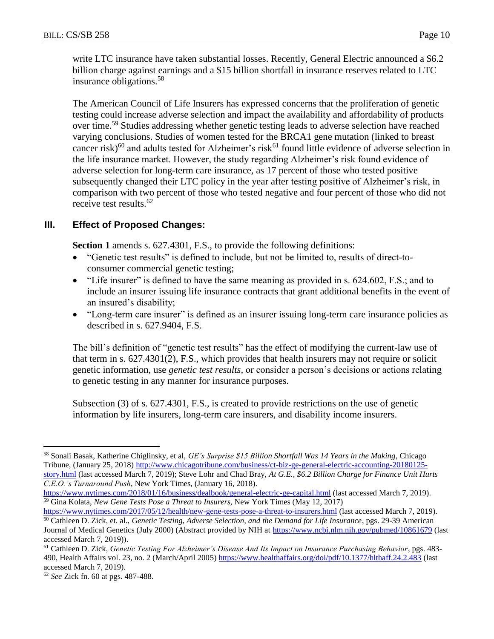write LTC insurance have taken substantial losses. Recently, General Electric announced a \$6.2 billion charge against earnings and a \$15 billion shortfall in insurance reserves related to LTC insurance obligations.<sup>58</sup>

The American Council of Life Insurers has expressed concerns that the proliferation of genetic testing could increase adverse selection and impact the availability and affordability of products over time.<sup>59</sup> Studies addressing whether genetic testing leads to adverse selection have reached varying conclusions. Studies of women tested for the BRCA1 gene mutation (linked to breast cancer risk)<sup>60</sup> and adults tested for Alzheimer's risk<sup>61</sup> found little evidence of adverse selection in the life insurance market. However, the study regarding Alzheimer's risk found evidence of adverse selection for long-term care insurance, as 17 percent of those who tested positive subsequently changed their LTC policy in the year after testing positive of Alzheimer's risk, in comparison with two percent of those who tested negative and four percent of those who did not receive test results.<sup>62</sup>

## **III. Effect of Proposed Changes:**

**Section 1** amends s. 627.4301, F.S., to provide the following definitions:

- "Genetic test results" is defined to include, but not be limited to, results of direct-toconsumer commercial genetic testing;
- "Life insurer" is defined to have the same meaning as provided in s. 624.602, F.S.; and to include an insurer issuing life insurance contracts that grant additional benefits in the event of an insured's disability;
- "Long-term care insurer" is defined as an insurer issuing long-term care insurance policies as described in s. 627.9404, F.S.

The bill's definition of "genetic test results" has the effect of modifying the current-law use of that term in s. 627.4301(2), F.S., which provides that health insurers may not require or solicit genetic information, use *genetic test results,* or consider a person's decisions or actions relating to genetic testing in any manner for insurance purposes.

Subsection (3) of s. 627.4301, F.S., is created to provide restrictions on the use of genetic information by life insurers, long-term care insurers, and disability income insurers.

<https://www.nytimes.com/2017/05/12/health/new-gene-tests-pose-a-threat-to-insurers.html> (last accessed March 7, 2019). <sup>60</sup> Cathleen D. Zick, et. al., *Genetic Testing, Adverse Selection, and the Demand for Life Insurance*, pgs. 29-39 American

<sup>58</sup> Sonali Basak, Katherine Chiglinsky, et al, *GE's Surprise \$15 Billion Shortfall Was 14 Years in the Making*, Chicago Tribune, (January 25, 2018) [http://www.chicagotribune.com/business/ct-biz-ge-general-electric-accounting-20180125](http://www.chicagotribune.com/business/ct-biz-ge-general-electric-accounting-20180125-story.html) [story.html](http://www.chicagotribune.com/business/ct-biz-ge-general-electric-accounting-20180125-story.html) (last accessed March 7, 2019); Steve Lohr and Chad Bray, *At G.E., \$6.2 Billion Charge for Finance Unit Hurts C.E.O.'s Turnaround Push*, New York Times, (January 16, 2018).

<https://www.nytimes.com/2018/01/16/business/dealbook/general-electric-ge-capital.html> (last accessed March 7, 2019). <sup>59</sup> Gina Kolata, *New Gene Tests Pose a Threat to Insurers*, New York Times (May 12, 2017)

Journal of Medical Genetics (July 2000) (Abstract provided by NIH at<https://www.ncbi.nlm.nih.gov/pubmed/10861679> (last accessed March 7, 2019)).

<sup>61</sup> Cathleen D. Zick, *Genetic Testing For Alzheimer's Disease And Its Impact on Insurance Purchasing Behavior*, pgs. 483 490, Health Affairs vol. 23, no. 2 (March/April 2005)<https://www.healthaffairs.org/doi/pdf/10.1377/hlthaff.24.2.483> (last accessed March 7, 2019).

<sup>62</sup> *See* Zick fn. 60 at pgs. 487-488.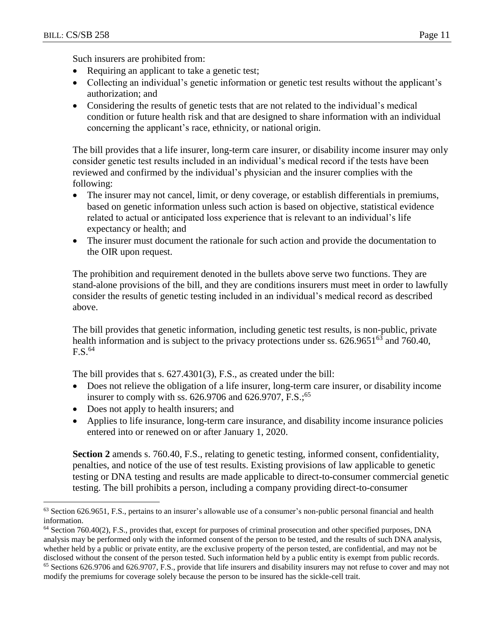$\overline{a}$ 

Such insurers are prohibited from:

- Requiring an applicant to take a genetic test;
- Collecting an individual's genetic information or genetic test results without the applicant's authorization; and
- Considering the results of genetic tests that are not related to the individual's medical condition or future health risk and that are designed to share information with an individual concerning the applicant's race, ethnicity, or national origin.

The bill provides that a life insurer, long-term care insurer, or disability income insurer may only consider genetic test results included in an individual's medical record if the tests have been reviewed and confirmed by the individual's physician and the insurer complies with the following:

- The insurer may not cancel, limit, or deny coverage, or establish differentials in premiums, based on genetic information unless such action is based on objective, statistical evidence related to actual or anticipated loss experience that is relevant to an individual's life expectancy or health; and
- The insurer must document the rationale for such action and provide the documentation to the OIR upon request.

The prohibition and requirement denoted in the bullets above serve two functions. They are stand-alone provisions of the bill, and they are conditions insurers must meet in order to lawfully consider the results of genetic testing included in an individual's medical record as described above.

The bill provides that genetic information, including genetic test results, is non-public, private health information and is subject to the privacy protections under ss.  $626.9651^{63}$  and 760.40,  $F.S.<sup>64</sup>$ 

The bill provides that s. 627.4301(3), F.S., as created under the bill:

- Does not relieve the obligation of a life insurer, long-term care insurer, or disability income insurer to comply with ss. 626.9706 and 626.9707, F.S.;<sup>65</sup>
- Does not apply to health insurers; and
- Applies to life insurance, long-term care insurance, and disability income insurance policies entered into or renewed on or after January 1, 2020.

**Section 2** amends s. 760.40, F.S., relating to genetic testing, informed consent, confidentiality, penalties, and notice of the use of test results. Existing provisions of law applicable to genetic testing or DNA testing and results are made applicable to direct-to-consumer commercial genetic testing. The bill prohibits a person, including a company providing direct-to-consumer

 $63$  Section 626.9651, F.S., pertains to an insurer's allowable use of a consumer's non-public personal financial and health information.

 $64$  Section 760.40(2), F.S., provides that, except for purposes of criminal prosecution and other specified purposes, DNA analysis may be performed only with the informed consent of the person to be tested, and the results of such DNA analysis, whether held by a public or private entity, are the exclusive property of the person tested, are confidential, and may not be disclosed without the consent of the person tested. Such information held by a public entity is exempt from public records.

<sup>&</sup>lt;sup>65</sup> Sections 626.9706 and 626.9707, F.S., provide that life insurers and disability insurers may not refuse to cover and may not modify the premiums for coverage solely because the person to be insured has the sickle-cell trait.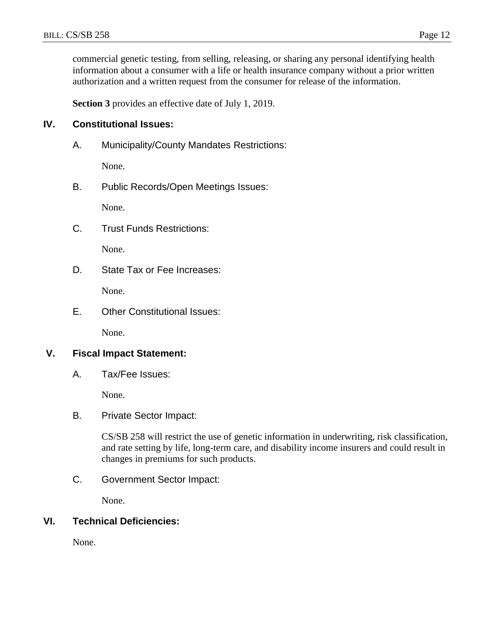commercial genetic testing, from selling, releasing, or sharing any personal identifying health information about a consumer with a life or health insurance company without a prior written authorization and a written request from the consumer for release of the information.

**Section 3** provides an effective date of July 1, 2019.

## **IV. Constitutional Issues:**

A. Municipality/County Mandates Restrictions:

None.

B. Public Records/Open Meetings Issues:

None.

C. Trust Funds Restrictions:

None.

D. State Tax or Fee Increases:

None.

E. Other Constitutional Issues:

None.

#### **V. Fiscal Impact Statement:**

A. Tax/Fee Issues:

None.

B. Private Sector Impact:

CS/SB 258 will restrict the use of genetic information in underwriting, risk classification, and rate setting by life, long-term care, and disability income insurers and could result in changes in premiums for such products.

C. Government Sector Impact:

None.

#### **VI. Technical Deficiencies:**

None.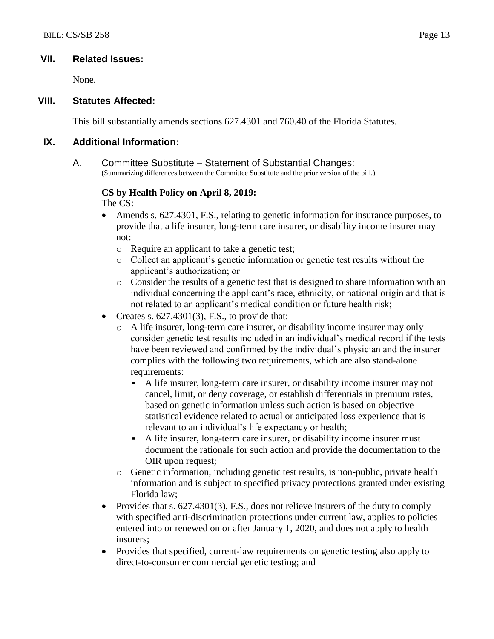#### **VII. Related Issues:**

None.

#### **VIII. Statutes Affected:**

This bill substantially amends sections 627.4301 and 760.40 of the Florida Statutes.

### **IX. Additional Information:**

A. Committee Substitute – Statement of Substantial Changes: (Summarizing differences between the Committee Substitute and the prior version of the bill.)

# **CS by Health Policy on April 8, 2019:**

- The CS:
- Amends s. 627.4301, F.S., relating to genetic information for insurance purposes, to provide that a life insurer, long-term care insurer, or disability income insurer may not:
	- o Require an applicant to take a genetic test;
	- o Collect an applicant's genetic information or genetic test results without the applicant's authorization; or
	- o Consider the results of a genetic test that is designed to share information with an individual concerning the applicant's race, ethnicity, or national origin and that is not related to an applicant's medical condition or future health risk;
- Creates s.  $627.4301(3)$ , F.S., to provide that:
	- o A life insurer, long-term care insurer, or disability income insurer may only consider genetic test results included in an individual's medical record if the tests have been reviewed and confirmed by the individual's physician and the insurer complies with the following two requirements, which are also stand-alone requirements:
		- A life insurer, long-term care insurer, or disability income insurer may not cancel, limit, or deny coverage, or establish differentials in premium rates, based on genetic information unless such action is based on objective statistical evidence related to actual or anticipated loss experience that is relevant to an individual's life expectancy or health;
		- A life insurer, long-term care insurer, or disability income insurer must document the rationale for such action and provide the documentation to the OIR upon request;
	- o Genetic information, including genetic test results, is non-public, private health information and is subject to specified privacy protections granted under existing Florida law;
- Provides that s. 627.4301(3), F.S., does not relieve insurers of the duty to comply with specified anti-discrimination protections under current law, applies to policies entered into or renewed on or after January 1, 2020, and does not apply to health insurers;
- Provides that specified, current-law requirements on genetic testing also apply to direct-to-consumer commercial genetic testing; and